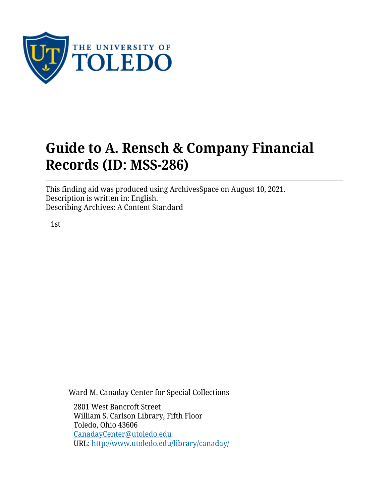

# **Guide to A. Rensch & Company Financial Records (ID: MSS-286)**

This finding aid was produced using ArchivesSpace on August 10, 2021. Description is written in: English. Describing Archives: A Content Standard

1st

Ward M. Canaday Center for Special Collections

2801 West Bancroft Street William S. Carlson Library, Fifth Floor Toledo, Ohio 43606 [CanadayCenter@utoledo.edu](mailto:CanadayCenter@utoledo.edu) URL:<http://www.utoledo.edu/library/canaday/>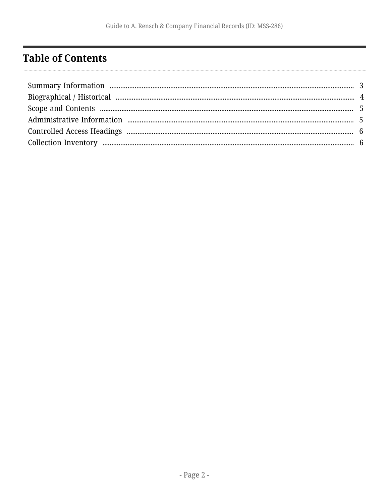## <span id="page-1-0"></span>**Table of Contents**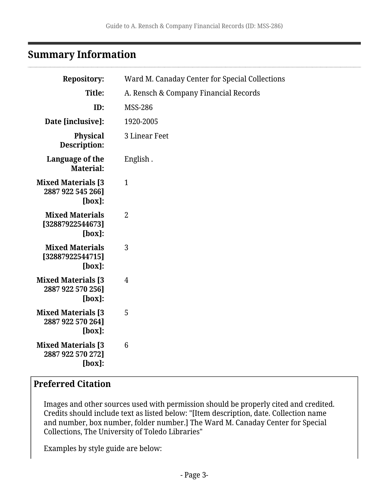#### <span id="page-2-0"></span>**Summary Information**

| <b>Repository:</b>                                          | Ward M. Canaday Center for Special Collections |
|-------------------------------------------------------------|------------------------------------------------|
| Title:                                                      | A. Rensch & Company Financial Records          |
| ID:                                                         | <b>MSS-286</b>                                 |
| Date [inclusive]:                                           | 1920-2005                                      |
| Physical<br>Description:                                    | 3 Linear Feet                                  |
| Language of the<br><b>Material:</b>                         | English.                                       |
| <b>Mixed Materials [3</b><br>2887 922 545 266]<br>$[box]$ : | $\mathbf{1}$                                   |
| <b>Mixed Materials</b><br>[32887922544673]<br>$[box]$ :     | $\overline{2}$                                 |
| <b>Mixed Materials</b><br>[32887922544715]<br>$[box]$ :     | 3                                              |
| <b>Mixed Materials [3</b><br>2887 922 570 256]<br>$[box]$ : | $\overline{4}$                                 |
| <b>Mixed Materials [3</b><br>2887 922 570 264]<br>$[box]$ : | 5                                              |
| <b>Mixed Materials [3</b><br>2887 922 570 272]<br>$[box]$ : | 6                                              |
|                                                             |                                                |

#### **Preferred Citation**

Images and other sources used with permission should be properly cited and credited. Credits should include text as listed below: "[Item description, date. Collection name and number, box number, folder number.] The Ward M. Canaday Center for Special Collections, The University of Toledo Libraries"

Examples by style guide are below: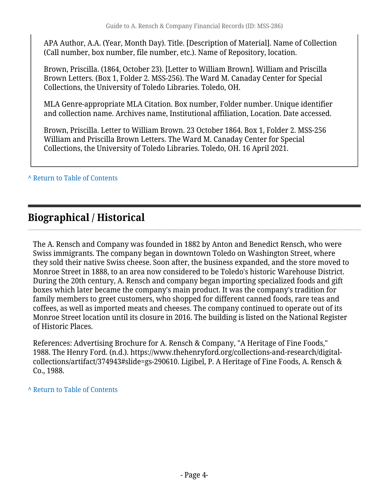APA Author, A.A. (Year, Month Day). Title. [Description of Material]. Name of Collection (Call number, box number, file number, etc.). Name of Repository, location.

Brown, Priscilla. (1864, October 23). [Letter to William Brown]. William and Priscilla Brown Letters. (Box 1, Folder 2. MSS-256). The Ward M. Canaday Center for Special Collections, the University of Toledo Libraries. Toledo, OH.

MLA Genre-appropriate MLA Citation. Box number, Folder number. Unique identifier and collection name. Archives name, Institutional affiliation, Location. Date accessed.

Brown, Priscilla. Letter to William Brown. 23 October 1864. Box 1, Folder 2. MSS-256 William and Priscilla Brown Letters. The Ward M. Canaday Center for Special Collections, the University of Toledo Libraries. Toledo, OH. 16 April 2021.

**^** [Return to Table of Contents](#page-1-0)

## <span id="page-3-0"></span>**Biographical / Historical**

The A. Rensch and Company was founded in 1882 by Anton and Benedict Rensch, who were Swiss immigrants. The company began in downtown Toledo on Washington Street, where they sold their native Swiss cheese. Soon after, the business expanded, and the store moved to Monroe Street in 1888, to an area now considered to be Toledo's historic Warehouse District. During the 20th century, A. Rensch and company began importing specialized foods and gift boxes which later became the company's main product. It was the company's tradition for family members to greet customers, who shopped for different canned foods, rare teas and coffees, as well as imported meats and cheeses. The company continued to operate out of its Monroe Street location until its closure in 2016. The building is listed on the National Register of Historic Places.

References: Advertising Brochure for A. Rensch & Company, "A Heritage of Fine Foods," 1988. The Henry Ford. (n.d.). https://www.thehenryford.org/collections-and-research/digitalcollections/artifact/374943#slide=gs-290610. Ligibel, P. A Heritage of Fine Foods, A. Rensch & Co., 1988.

**^** [Return to Table of Contents](#page-1-0)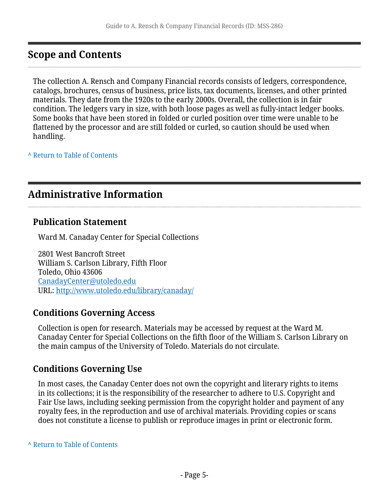## <span id="page-4-0"></span>**Scope and Contents**

The collection A. Rensch and Company Financial records consists of ledgers, correspondence, catalogs, brochures, census of business, price lists, tax documents, licenses, and other printed materials. They date from the 1920s to the early 2000s. Overall, the collection is in fair condition. The ledgers vary in size, with both loose pages as well as fully-intact ledger books. Some books that have been stored in folded or curled position over time were unable to be flattened by the processor and are still folded or curled, so caution should be used when handling.

**^** [Return to Table of Contents](#page-1-0)

### <span id="page-4-1"></span>**Administrative Information**

#### **Publication Statement**

Ward M. Canaday Center for Special Collections

2801 West Bancroft Street William S. Carlson Library, Fifth Floor Toledo, Ohio 43606 [CanadayCenter@utoledo.edu](mailto:CanadayCenter@utoledo.edu) URL:<http://www.utoledo.edu/library/canaday/>

#### **Conditions Governing Access**

Collection is open for research. Materials may be accessed by request at the Ward M. Canaday Center for Special Collections on the fifth floor of the William S. Carlson Library on the main campus of the University of Toledo. Materials do not circulate.

#### **Conditions Governing Use**

In most cases, the Canaday Center does not own the copyright and literary rights to items in its collections; it is the responsibility of the researcher to adhere to U.S. Copyright and Fair Use laws, including seeking permission from the copyright holder and payment of any royalty fees, in the reproduction and use of archival materials. Providing copies or scans does not constitute a license to publish or reproduce images in print or electronic form.

**^** [Return to Table of Contents](#page-1-0)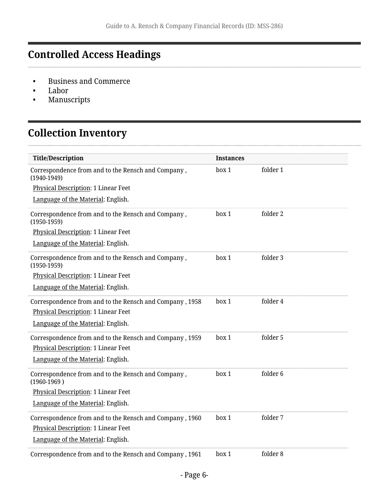# <span id="page-5-0"></span>**Controlled Access Headings**

- Business and Commerce
- Labor

. . . . . . . . . . . . . . . . . . . .

• Manuscripts

# <span id="page-5-1"></span>**Collection Inventory**

| <b>Title/Description</b>                                              | <b>Instances</b> |          |  |
|-----------------------------------------------------------------------|------------------|----------|--|
| Correspondence from and to the Rensch and Company,<br>$(1940-1949)$   | box 1            | folder 1 |  |
| Physical Description: 1 Linear Feet                                   |                  |          |  |
| Language of the Material: English.                                    |                  |          |  |
| Correspondence from and to the Rensch and Company,<br>$(1950-1959)$   | box 1            | folder 2 |  |
| Physical Description: 1 Linear Feet                                   |                  |          |  |
| Language of the Material: English.                                    |                  |          |  |
| Correspondence from and to the Rensch and Company,<br>$(1950-1959)$   | box 1            | folder 3 |  |
| Physical Description: 1 Linear Feet                                   |                  |          |  |
| Language of the Material: English.                                    |                  |          |  |
| Correspondence from and to the Rensch and Company, 1958               | box 1            | folder 4 |  |
| <b>Physical Description: 1 Linear Feet</b>                            |                  |          |  |
| Language of the Material: English.                                    |                  |          |  |
| Correspondence from and to the Rensch and Company, 1959               | box 1            | folder 5 |  |
| <b>Physical Description: 1 Linear Feet</b>                            |                  |          |  |
| Language of the Material: English.                                    |                  |          |  |
| Correspondence from and to the Rensch and Company,<br>$(1960 - 1969)$ | box 1            | folder 6 |  |
| Physical Description: 1 Linear Feet                                   |                  |          |  |
| Language of the Material: English.                                    |                  |          |  |
| Correspondence from and to the Rensch and Company, 1960               | box 1            | folder 7 |  |
| Physical Description: 1 Linear Feet                                   |                  |          |  |
| Language of the Material: English.                                    |                  |          |  |
| Correspondence from and to the Rensch and Company, 1961               | box 1            | folder 8 |  |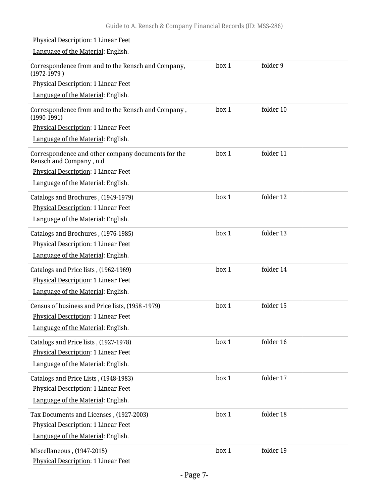| Physical Description: 1 Linear Feet                                                                              |       |           |  |
|------------------------------------------------------------------------------------------------------------------|-------|-----------|--|
| Language of the Material: English.                                                                               |       |           |  |
| Correspondence from and to the Rensch and Company,<br>$(1972-1979)$                                              | box 1 | folder 9  |  |
| Physical Description: 1 Linear Feet                                                                              |       |           |  |
| Language of the Material: English.                                                                               |       |           |  |
| Correspondence from and to the Rensch and Company,<br>$(1990-1991)$                                              | box 1 | folder 10 |  |
| Physical Description: 1 Linear Feet                                                                              |       |           |  |
| Language of the Material: English.                                                                               |       |           |  |
| Correspondence and other company documents for the<br>Rensch and Company, n.d                                    | box 1 | folder 11 |  |
| Physical Description: 1 Linear Feet                                                                              |       |           |  |
| Language of the Material: English.                                                                               |       |           |  |
| Catalogs and Brochures, (1949-1979)<br>Physical Description: 1 Linear Feet<br>Language of the Material: English. | box 1 | folder 12 |  |
|                                                                                                                  |       | folder 13 |  |
| Catalogs and Brochures, (1976-1985)<br>Physical Description: 1 Linear Feet                                       | box 1 |           |  |
| Language of the Material: English.                                                                               |       |           |  |
|                                                                                                                  |       | folder 14 |  |
| Catalogs and Price lists, (1962-1969)<br>Physical Description: 1 Linear Feet                                     | box 1 |           |  |
| Language of the Material: English.                                                                               |       |           |  |
|                                                                                                                  |       |           |  |
| Census of business and Price lists, (1958 -1979)                                                                 | box 1 | folder 15 |  |
| Physical Description: 1 Linear Feet<br>Language of the Material: English.                                        |       |           |  |
|                                                                                                                  |       |           |  |
| Catalogs and Price lists, (1927-1978)                                                                            | box 1 | folder 16 |  |
| Physical Description: 1 Linear Feet                                                                              |       |           |  |
| Language of the Material: English.                                                                               |       |           |  |
| Catalogs and Price Lists, (1948-1983)                                                                            | box 1 | folder 17 |  |
| Physical Description: 1 Linear Feet                                                                              |       |           |  |
| Language of the Material: English.                                                                               |       |           |  |
| Tax Documents and Licenses, (1927-2003)                                                                          | box 1 | folder 18 |  |
| Physical Description: 1 Linear Feet                                                                              |       |           |  |
| Language of the Material: English.                                                                               |       |           |  |
| Miscellaneous, (1947-2015)                                                                                       | box 1 | folder 19 |  |
| Physical Description: 1 Linear Feet                                                                              |       |           |  |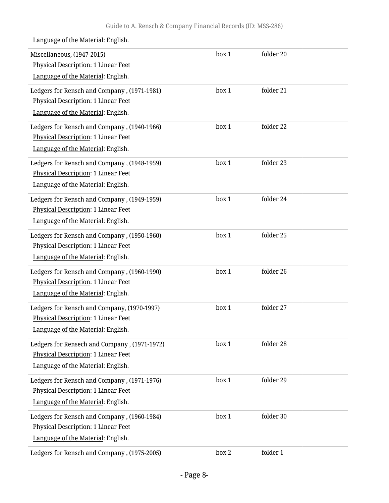| Language of the Material: English.                                                                                               |       |           |  |
|----------------------------------------------------------------------------------------------------------------------------------|-------|-----------|--|
| Miscellaneous, (1947-2015)<br>Physical Description: 1 Linear Feet<br>Language of the Material: English.                          | box 1 | folder 20 |  |
| Ledgers for Rensch and Company, (1971-1981)<br>Physical Description: 1 Linear Feet<br>Language of the Material: English.         | box 1 | folder 21 |  |
| Ledgers for Rensch and Company, (1940-1966)<br>Physical Description: 1 Linear Feet<br>Language of the Material: English.         | box 1 | folder 22 |  |
| Ledgers for Rensch and Company, (1948-1959)<br>Physical Description: 1 Linear Feet<br>Language of the Material: English.         | box 1 | folder 23 |  |
| Ledgers for Rensch and Company, (1949-1959)<br><b>Physical Description: 1 Linear Feet</b><br>Language of the Material: English.  | box 1 | folder 24 |  |
| Ledgers for Rensch and Company, (1950-1960)<br>Physical Description: 1 Linear Feet<br>Language of the Material: English.         | box 1 | folder 25 |  |
| Ledgers for Rensch and Company, (1960-1990)<br>Physical Description: 1 Linear Feet<br>Language of the Material: English.         | box 1 | folder 26 |  |
| Ledgers for Rensch and Company, (1970-1997)<br>Physical Description: 1 Linear Feet<br>Language of the Material: English.         | box 1 | folder 27 |  |
| Ledgers for Rensech and Company, (1971-1972)<br><b>Physical Description: 1 Linear Feet</b><br>Language of the Material: English. | box 1 | folder 28 |  |
| Ledgers for Rensch and Company, (1971-1976)<br><b>Physical Description: 1 Linear Feet</b><br>Language of the Material: English.  | box 1 | folder 29 |  |
| Ledgers for Rensch and Company, (1960-1984)<br>Physical Description: 1 Linear Feet<br>Language of the Material: English.         | box 1 | folder 30 |  |
| Ledgers for Rensch and Company, (1975-2005)                                                                                      | box 2 | folder 1  |  |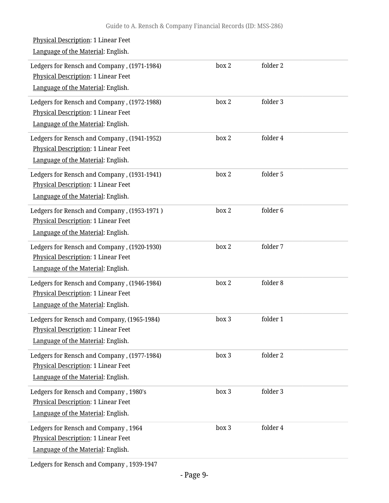| Physical Description: 1 Linear Feet<br>Language of the Material: English.                                                       |       |                     |
|---------------------------------------------------------------------------------------------------------------------------------|-------|---------------------|
| Ledgers for Rensch and Company, (1971-1984)<br><b>Physical Description: 1 Linear Feet</b><br>Language of the Material: English. | box 2 | folder 2            |
| Ledgers for Rensch and Company, (1972-1988)<br>Physical Description: 1 Linear Feet<br>Language of the Material: English.        | box 2 | folder 3            |
| Ledgers for Rensch and Company, (1941-1952)<br>Physical Description: 1 Linear Feet<br>Language of the Material: English.        | box 2 | folder 4            |
| Ledgers for Rensch and Company, (1931-1941)<br>Physical Description: 1 Linear Feet<br>Language of the Material: English.        | box 2 | folder 5            |
| Ledgers for Rensch and Company, (1953-1971)<br>Physical Description: 1 Linear Feet<br>Language of the Material: English.        | box 2 | folder <sub>6</sub> |
| Ledgers for Rensch and Company, (1920-1930)<br>Physical Description: 1 Linear Feet<br>Language of the Material: English.        | box 2 | folder 7            |
| Ledgers for Rensch and Company, (1946-1984)<br><b>Physical Description: 1 Linear Feet</b><br>Language of the Material: English. | box 2 | folder 8            |
| Ledgers for Rensch and Company, (1965-1984)<br>Physical Description: 1 Linear Feet<br>Language of the Material: English.        | box 3 | folder 1            |
| Ledgers for Rensch and Company, (1977-1984)<br>Physical Description: 1 Linear Feet<br>Language of the Material: English.        | box 3 | folder 2            |
| Ledgers for Rensch and Company, 1980's<br>Physical Description: 1 Linear Feet<br>Language of the Material: English.             | box 3 | folder 3            |
| Ledgers for Rensch and Company, 1964<br>Physical Description: 1 Linear Feet<br>Language of the Material: English.               | box 3 | folder 4            |

Ledgers for Rensch and Company , 1939-1947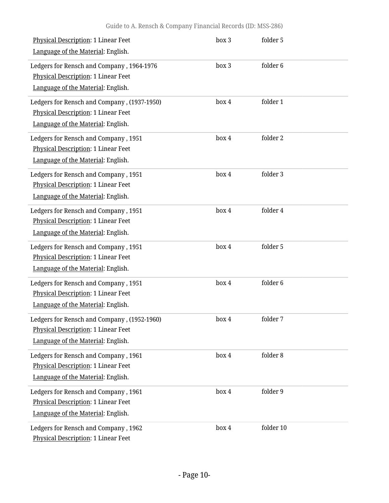| Physical Description: 1 Linear Feet         | box 3 | folder 5  |  |
|---------------------------------------------|-------|-----------|--|
| Language of the Material: English.          |       |           |  |
| Ledgers for Rensch and Company, 1964-1976   | box 3 | folder 6  |  |
| Physical Description: 1 Linear Feet         |       |           |  |
| Language of the Material: English.          |       |           |  |
| Ledgers for Rensch and Company, (1937-1950) | box 4 | folder 1  |  |
| <b>Physical Description: 1 Linear Feet</b>  |       |           |  |
| Language of the Material: English.          |       |           |  |
| Ledgers for Rensch and Company, 1951        | box 4 | folder 2  |  |
| <b>Physical Description: 1 Linear Feet</b>  |       |           |  |
| Language of the Material: English.          |       |           |  |
| Ledgers for Rensch and Company, 1951        | box 4 | folder 3  |  |
| <b>Physical Description: 1 Linear Feet</b>  |       |           |  |
| Language of the Material: English.          |       |           |  |
| Ledgers for Rensch and Company, 1951        | box 4 | folder 4  |  |
| Physical Description: 1 Linear Feet         |       |           |  |
| Language of the Material: English.          |       |           |  |
| Ledgers for Rensch and Company, 1951        | box 4 | folder 5  |  |
| Physical Description: 1 Linear Feet         |       |           |  |
| Language of the Material: English.          |       |           |  |
| Ledgers for Rensch and Company, 1951        | box 4 | folder 6  |  |
| <b>Physical Description: 1 Linear Feet</b>  |       |           |  |
| Language of the Material: English.          |       |           |  |
| Ledgers for Rensch and Company, (1952-1960) | box 4 | folder 7  |  |
| <b>Physical Description: 1 Linear Feet</b>  |       |           |  |
| Language of the Material: English.          |       |           |  |
| Ledgers for Rensch and Company, 1961        | box 4 | folder 8  |  |
| Physical Description: 1 Linear Feet         |       |           |  |
| Language of the Material: English.          |       |           |  |
| Ledgers for Rensch and Company, 1961        | box 4 | folder 9  |  |
| <b>Physical Description: 1 Linear Feet</b>  |       |           |  |
| Language of the Material: English.          |       |           |  |
| Ledgers for Rensch and Company, 1962        | box 4 | folder 10 |  |
| Physical Description: 1 Linear Feet         |       |           |  |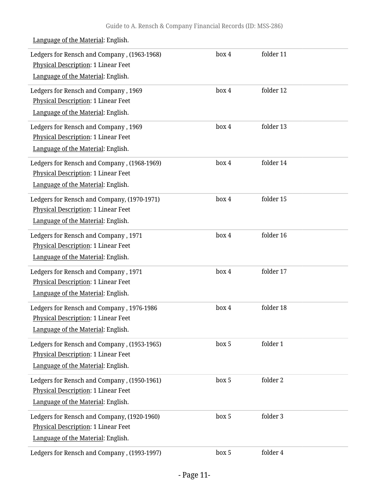Ledgers for Rensch and Company , (1963-1968) Physical Description: 1 Linear Feet Language of the Material: English. box 4 folder 11 Ledgers for Rensch and Company , 1969 Physical Description: 1 Linear Feet Language of the Material: English. box 4 folder 12 Ledgers for Rensch and Company , 1969 Physical Description: 1 Linear Feet Language of the Material: English. box 4 folder 13 Ledgers for Rensch and Company , (1968-1969) Physical Description: 1 Linear Feet Language of the Material: English. box 4 folder 14 Ledgers for Rensch and Company, (1970-1971) Physical Description: 1 Linear Feet Language of the Material: English. box 4 folder 15 Ledgers for Rensch and Company , 1971 Physical Description: 1 Linear Feet Language of the Material: English. box 4 folder 16 Ledgers for Rensch and Company , 1971 Physical Description: 1 Linear Feet Language of the Material: English. box 4 folder 17 Ledgers for Rensch and Company , 1976-1986 Physical Description: 1 Linear Feet Language of the Material: English. box 4 folder 18 Ledgers for Rensch and Company , (1953-1965) Physical Description: 1 Linear Feet Language of the Material: English. box 5 folder 1 Ledgers for Rensch and Company , (1950-1961) Physical Description: 1 Linear Feet Language of the Material: English. box 5 folder 2 Ledgers for Rensch and Company, (1920-1960) Physical Description: 1 Linear Feet Language of the Material: English. box 5 folder 3 Ledgers for Rensch and Company , (1993-1997) box 5 folder 4